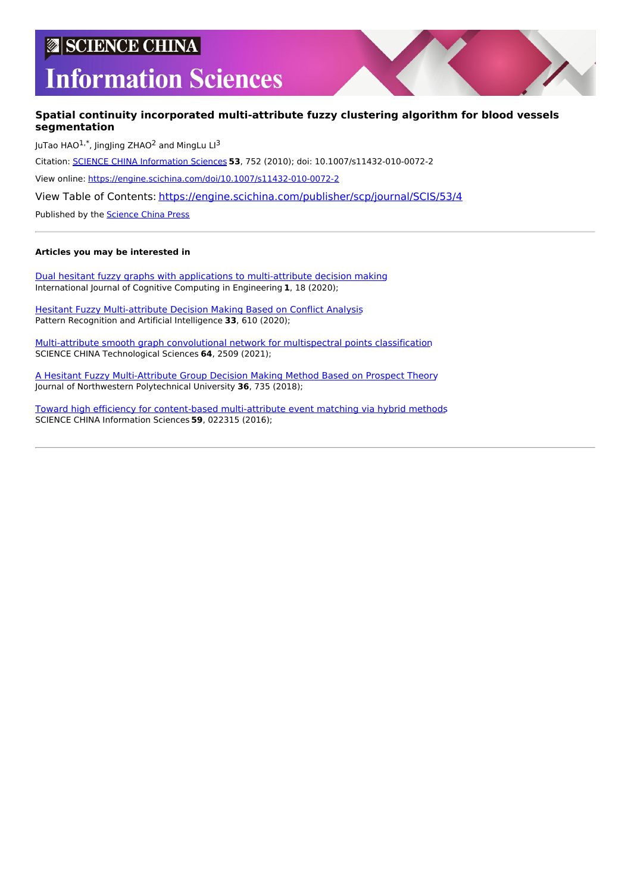# **SCIENCE CHINA**

# **Information Sciences**

## **Spatial continuity incorporated multi-attribute fuzzy clustering algorithm for blood vessels segmentation**

JuTao HAO $^{1,*}$ , JingJing ZHAO<sup>2</sup> and MingLu LI<sup>3</sup> Citation: SCIENCE CHINA [Information](https://engine.scichina.com/publisher/scp/journal/SCIS) Sciences **53**, 752 (2010); doi: 10.1007/s11432-010-0072-2 View online: <https://engine.scichina.com/doi/10.1007/s11432-010-0072-2> View Table of Contents: <https://engine.scichina.com/publisher/scp/journal/SCIS/53/4> Published by the [Science](https://engine.scichina.com/publisher/scp) China Press

#### **Articles you may be interested in**

Dual hesitant fuzzy graphs with applications to [multi-attribute](https://engine.scichina.com/doi/10.1016/j.ijcce.2020.09.002) decision making International Journal of Cognitive Computing in Engineering **1**, 18 (2020);

Hesitant Fuzzy [Multi-attribute](https://engine.scichina.com/doi/10.16451/j.cnki.issn1003-6059.202007004) Decision Making Based on Conflict Analysis Pattern Recognition and Artificial Intelligence **33**, 610 (2020);

[Multi-attribute](https://engine.scichina.com/doi/10.1007/s11431-020-1871-8) smooth graph convolutional network for multispectral points classification SCIENCE CHINA Technological Sciences **64**, 2509 (2021);

A Hesitant Fuzzy [Multi-Attribute](https://engine.scichina.com/doi/10.1051/jnwpu/20183640735) Group Decision Making Method Based on Prospect Theory Journal of Northwestern Polytechnical University **36**, 735 (2018);

Toward high efficiency for content-based [multi-attribute](https://engine.scichina.com/doi/10.1007/s11432-015-5500-x) event matching via hybrid methods SCIENCE CHINA Information Sciences **59**, 022315 (2016);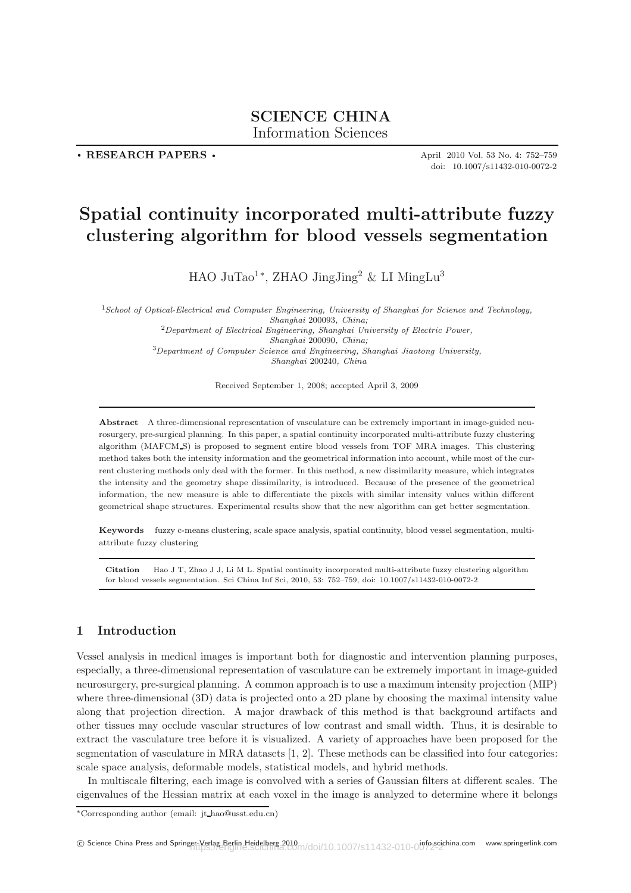# **SCIENCE CHINA**

Information Sciences Information Sciences

**. RESEARCH PAPERS .**

April 2010 Vol. 53 No. 4: 752–759 doi: 10.1007/s11432-010-0072-2

# **Spatial continuity incorporated multi-attribute fuzzy clustering algorithm for blood vessels segmentation**

HAO JuTao<sup>1</sup><sup>∗</sup>, ZHAO JingJing<sup>2</sup> & LI MingLu<sup>3</sup>

<sup>1</sup>*School of Optical-Electrical and Computer Engineering, University of Shanghai for Science and Technology, Shanghai* 200093*, China;* <sup>2</sup>*Department of Electrical Engineering, Shanghai University of Electric Power, Shanghai* 200090*, China;*

<sup>3</sup>*Department of Computer Science and Engineering, Shanghai Jiaotong University,*

*Shanghai* 200240*, China*

Received September 1, 2008; accepted April 3, 2009

**Abstract** A three-dimensional representation of vasculature can be extremely important in image-guided neurosurgery, pre-surgical planning. In this paper, a spatial continuity incorporated multi-attribute fuzzy clustering algorithm (MAFCM S) is proposed to segment entire blood vessels from TOF MRA images. This clustering method takes both the intensity information and the geometrical information into account, while most of the current clustering methods only deal with the former. In this method, a new dissimilarity measure, which integrates the intensity and the geometry shape dissimilarity, is introduced. Because of the presence of the geometrical information, the new measure is able to differentiate the pixels with similar intensity values within different geometrical shape structures. Experimental results show that the new algorithm can get better segmentation.

**Keywords** fuzzy c-means clustering, scale space analysis, spatial continuity, blood vessel segmentation, multiattribute fuzzy clustering

**Citation** Hao J T, Zhao J J, Li M L. Spatial continuity incorporated multi-attribute fuzzy clustering algorithm for blood vessels segmentation. Sci China Inf Sci, 2010, 53: 752–759, doi: 10.1007/s11432-010-0072-2

## **1 Introduction**

Vessel analysis in medical images is important both for diagnostic and intervention planning purposes, especially, a three-dimensional representation of vasculature can be extremely important in image-guided neurosurgery, pre-surgical planning. A common approach is to use a maximum intensity projection (MIP) where three-dimensional (3D) data is projected onto a 2D plane by choosing the maximal intensity value along that projection direction. A major drawback of this method is that background artifacts and other tissues may occlude vascular structures of low contrast and small width. Thus, it is desirable to extract the vasculature tree before it is visualized. A variety of approaches have been proposed for the segmentation of vasculature in MRA datasets [1, 2]. These methods can be classified into four categories: scale space analysis, deformable models, statistical models, and hybrid methods.

In multiscale filtering, each image is convolved with a series of Gaussian filters at different scales. The eigenvalues of the Hessian matrix at each voxel in the image is analyzed to determine where it belongs

<sup>∗</sup>Corresponding author (email: jt hao@usst.edu.cn)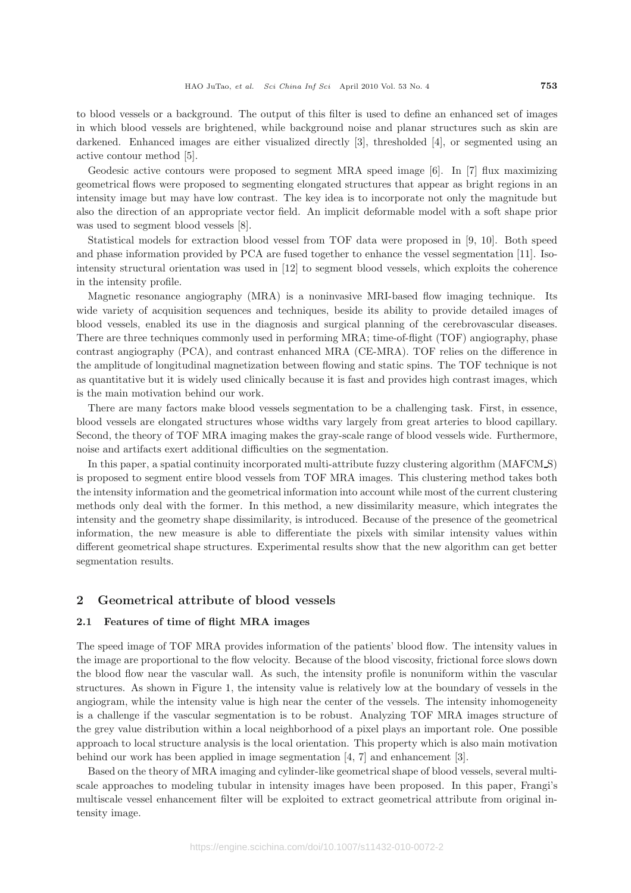to blood vessels or a background. The output of this filter is used to define an enhanced set of images in which blood vessels are brightened, while background noise and planar structures such as skin are darkened. Enhanced images are either visualized directly [3], thresholded [4], or segmented using an active contour method [5].

Geodesic active contours were proposed to segment MRA speed image [6]. In [7] flux maximizing geometrical flows were proposed to segmenting elongated structures that appear as bright regions in an intensity image but may have low contrast. The key idea is to incorporate not only the magnitude but also the direction of an appropriate vector field. An implicit deformable model with a soft shape prior was used to segment blood vessels [8].

Statistical models for extraction blood vessel from TOF data were proposed in [9, 10]. Both speed and phase information provided by PCA are fused together to enhance the vessel segmentation [11]. Isointensity structural orientation was used in [12] to segment blood vessels, which exploits the coherence in the intensity profile.

Magnetic resonance angiography (MRA) is a noninvasive MRI-based flow imaging technique. Its wide variety of acquisition sequences and techniques, beside its ability to provide detailed images of blood vessels, enabled its use in the diagnosis and surgical planning of the cerebrovascular diseases. There are three techniques commonly used in performing MRA; time-of-flight (TOF) angiography, phase contrast angiography (PCA), and contrast enhanced MRA (CE-MRA). TOF relies on the difference in the amplitude of longitudinal magnetization between flowing and static spins. The TOF technique is not as quantitative but it is widely used clinically because it is fast and provides high contrast images, which is the main motivation behind our work.

There are many factors make blood vessels segmentation to be a challenging task. First, in essence, blood vessels are elongated structures whose widths vary largely from great arteries to blood capillary. Second, the theory of TOF MRA imaging makes the gray-scale range of blood vessels wide. Furthermore, noise and artifacts exert additional difficulties on the segmentation.

In this paper, a spatial continuity incorporated multi-attribute fuzzy clustering algorithm (MAFCM S) is proposed to segment entire blood vessels from TOF MRA images. This clustering method takes both the intensity information and the geometrical information into account while most of the current clustering methods only deal with the former. In this method, a new dissimilarity measure, which integrates the intensity and the geometry shape dissimilarity, is introduced. Because of the presence of the geometrical information, the new measure is able to differentiate the pixels with similar intensity values within different geometrical shape structures. Experimental results show that the new algorithm can get better segmentation results.

## **2 Geometrical attribute of blood vessels**

#### **2.1 Features of time of flight MRA images**

The speed image of TOF MRA provides information of the patients' blood flow. The intensity values in the image are proportional to the flow velocity. Because of the blood viscosity, frictional force slows down the blood flow near the vascular wall. As such, the intensity profile is nonuniform within the vascular structures. As shown in Figure 1, the intensity value is relatively low at the boundary of vessels in the angiogram, while the intensity value is high near the center of the vessels. The intensity inhomogeneity is a challenge if the vascular segmentation is to be robust. Analyzing TOF MRA images structure of the grey value distribution within a local neighborhood of a pixel plays an important role. One possible approach to local structure analysis is the local orientation. This property which is also main motivation behind our work has been applied in image segmentation [4, 7] and enhancement [3].

Based on the theory of MRA imaging and cylinder-like geometrical shape of blood vessels, several multiscale approaches to modeling tubular in intensity images have been proposed. In this paper, Frangi's multiscale vessel enhancement filter will be exploited to extract geometrical attribute from original intensity image.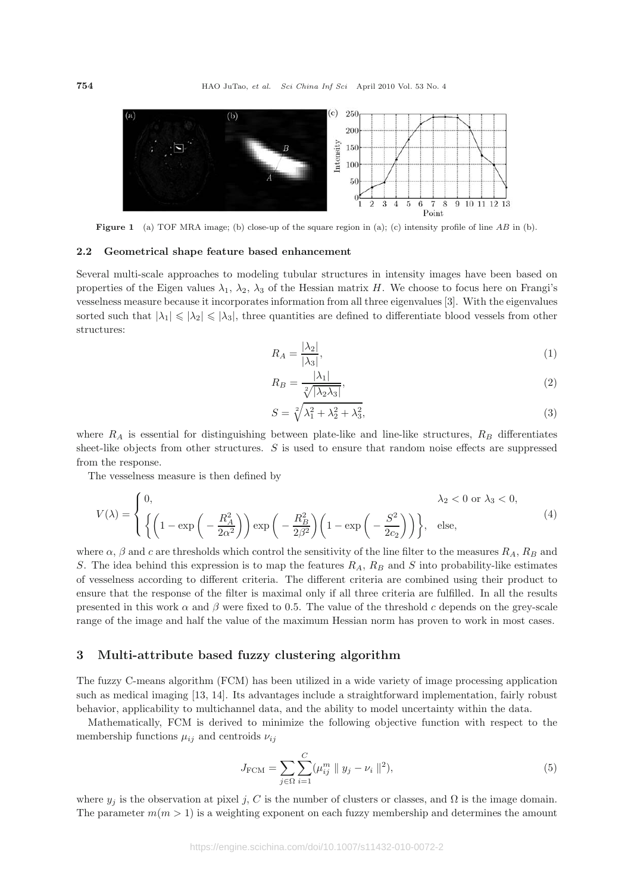

**Figure 1** (a) TOF MRA image; (b) close-up of the square region in (a); (c) intensity profile of line AB in (b).

#### **2.2 Geometrical shape feature based enhancement**

Several multi-scale approaches to modeling tubular structures in intensity images have been based on properties of the Eigen values  $\lambda_1$ ,  $\lambda_2$ ,  $\lambda_3$  of the Hessian matrix H. We choose to focus here on Frangi's vesselness measure because it incorporates information from all three eigenvalues [3]. With the eigenvalues sorted such that  $|\lambda_1| \le |\lambda_2| \le |\lambda_3|$ , three quantities are defined to differentiate blood vessels from other structures:

$$
R_A = \frac{|\lambda_2|}{|\lambda_3|},\tag{1}
$$

$$
R_B = \frac{|\lambda_1|}{\sqrt[2]{|\lambda_2 \lambda_3|}},\tag{2}
$$

$$
S = \sqrt[2]{\lambda_1^2 + \lambda_2^2 + \lambda_3^2},\tag{3}
$$

where  $R_A$  is essential for distinguishing between plate-like and line-like structures,  $R_B$  differentiates sheet-like objects from other structures.  $S$  is used to ensure that random noise effects are suppressed from the response.

The vesselness measure is then defined by

$$
V(\lambda) = \begin{cases} 0, & \lambda_2 < 0 \text{ or } \lambda_3 < 0, \\ \left\{ \left( 1 - \exp\left( -\frac{R_A^2}{2\alpha^2} \right) \right) \exp\left( -\frac{R_B^2}{2\beta^2} \right) \left( 1 - \exp\left( -\frac{S^2}{2c_2} \right) \right) \right\}, & \text{else,} \end{cases}
$$
(4)

where  $\alpha$ ,  $\beta$  and c are thresholds which control the sensitivity of the line filter to the measures  $R_A$ ,  $R_B$  and S. The idea behind this expression is to map the features  $R_A$ ,  $R_B$  and S into probability-like estimates of vesselness according to different criteria. The different criteria are combined using their product to ensure that the response of the filter is maximal only if all three criteria are fulfilled. In all the results presented in this work  $\alpha$  and  $\beta$  were fixed to 0.5. The value of the threshold c depends on the grey-scale range of the image and half the value of the maximum Hessian norm has proven to work in most cases.

#### **3 Multi-attribute based fuzzy clustering algorithm**

The fuzzy C-means algorithm (FCM) has been utilized in a wide variety of image processing application such as medical imaging [13, 14]. Its advantages include a straightforward implementation, fairly robust behavior, applicability to multichannel data, and the ability to model uncertainty within the data.

Mathematically, FCM is derived to minimize the following objective function with respect to the membership functions  $\mu_{ij}$  and centroids  $\nu_{ij}$ 

$$
J_{\text{FCM}} = \sum_{j \in \Omega} \sum_{i=1}^{C} (\mu_{ij}^{m} || y_j - \nu_i ||^2), \tag{5}
$$

where  $y_j$  is the observation at pixel j, C is the number of clusters or classes, and  $\Omega$  is the image domain. The parameter  $m(m > 1)$  is a weighting exponent on each fuzzy membership and determines the amount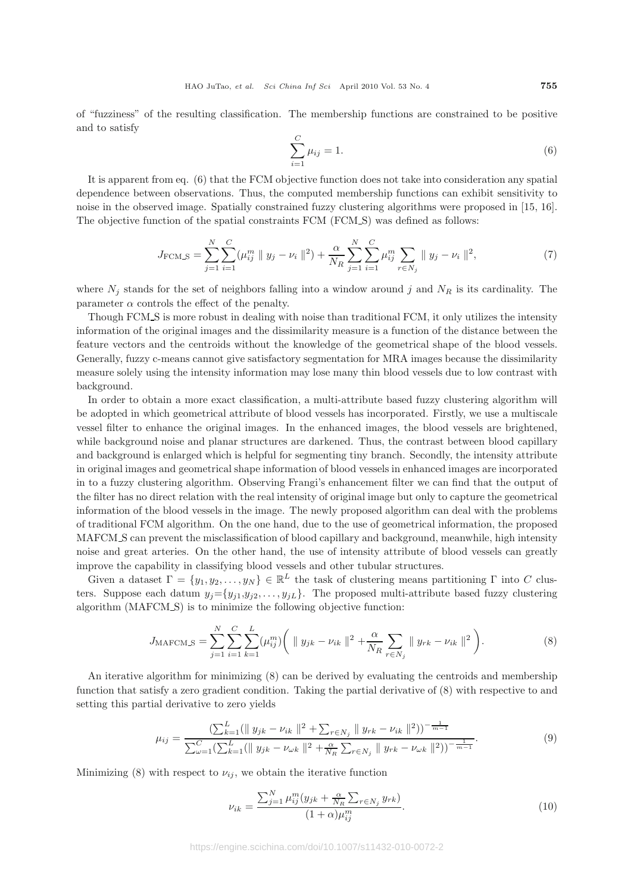of "fuzziness" of the resulting classification. The membership functions are constrained to be positive and to satisfy

$$
\sum_{i=1}^{C} \mu_{ij} = 1.
$$
\n(6)

It is apparent from eq. (6) that the FCM objective function does not take into consideration any spatial dependence between observations. Thus, the computed membership functions can exhibit sensitivity to noise in the observed image. Spatially constrained fuzzy clustering algorithms were proposed in [15, 16]. The objective function of the spatial constraints FCM (FCM S) was defined as follows:

$$
J_{\text{FCM\_S}} = \sum_{j=1}^{N} \sum_{i=1}^{C} (\mu_{ij}^{m} \parallel y_j - \nu_i \parallel^2) + \frac{\alpha}{N_R} \sum_{j=1}^{N} \sum_{i=1}^{C} \mu_{ij}^{m} \sum_{r \in N_j} \parallel y_j - \nu_i \parallel^2,
$$
 (7)

where  $N_j$  stands for the set of neighbors falling into a window around j and  $N_R$  is its cardinality. The parameter  $\alpha$  controls the effect of the penalty.

Though FCM S is more robust in dealing with noise than traditional FCM, it only utilizes the intensity information of the original images and the dissimilarity measure is a function of the distance between the feature vectors and the centroids without the knowledge of the geometrical shape of the blood vessels. Generally, fuzzy c-means cannot give satisfactory segmentation for MRA images because the dissimilarity measure solely using the intensity information may lose many thin blood vessels due to low contrast with background.

In order to obtain a more exact classification, a multi-attribute based fuzzy clustering algorithm will be adopted in which geometrical attribute of blood vessels has incorporated. Firstly, we use a multiscale vessel filter to enhance the original images. In the enhanced images, the blood vessels are brightened, while background noise and planar structures are darkened. Thus, the contrast between blood capillary and background is enlarged which is helpful for segmenting tiny branch. Secondly, the intensity attribute in original images and geometrical shape information of blood vessels in enhanced images are incorporated in to a fuzzy clustering algorithm. Observing Frangi's enhancement filter we can find that the output of the filter has no direct relation with the real intensity of original image but only to capture the geometrical information of the blood vessels in the image. The newly proposed algorithm can deal with the problems of traditional FCM algorithm. On the one hand, due to the use of geometrical information, the proposed MAFCM S can prevent the misclassification of blood capillary and background, meanwhile, high intensity noise and great arteries. On the other hand, the use of intensity attribute of blood vessels can greatly improve the capability in classifying blood vessels and other tubular structures.

Given a dataset  $\Gamma = \{y_1, y_2, \ldots, y_N\} \in \mathbb{R}^L$  the task of clustering means partitioning  $\Gamma$  into C clusters. Suppose each datum  $y_j = \{y_{j1}, y_{j2}, \ldots, y_{jL}\}.$  The proposed multi-attribute based fuzzy clustering algorithm (MAFCM S) is to minimize the following objective function:

$$
J_{\text{MAFCM-S}} = \sum_{j=1}^{N} \sum_{i=1}^{C} \sum_{k=1}^{L} (\mu_{ij}^{m}) \bigg( \| y_{jk} - \nu_{ik} \|^2 + \frac{\alpha}{N_R} \sum_{r \in N_j} \| y_{rk} - \nu_{ik} \|^2 \bigg).
$$
 (8)

An iterative algorithm for minimizing (8) can be derived by evaluating the centroids and membership function that satisfy a zero gradient condition. Taking the partial derivative of (8) with respective to and setting this partial derivative to zero yields

$$
\mu_{ij} = \frac{\left(\sum_{k=1}^{L} (\|y_{jk} - \nu_{ik}\|^2 + \sum_{r \in N_j} \|y_{rk} - \nu_{ik}\|^2)\right)^{-\frac{1}{m-1}}}{\sum_{\omega=1}^{C} (\sum_{k=1}^{L} (\|y_{jk} - \nu_{\omega k}\|^2 + \frac{\alpha}{N_R} \sum_{r \in N_j} \|y_{rk} - \nu_{\omega k}\|^2))^{-\frac{1}{m-1}}}.
$$
\n(9)

Minimizing (8) with respect to  $\nu_{ij}$ , we obtain the iterative function

$$
\nu_{ik} = \frac{\sum_{j=1}^{N} \mu_{ij}^{m} (y_{jk} + \frac{\alpha}{N_R} \sum_{r \in N_j} y_{rk})}{(1 + \alpha)\mu_{ij}^{m}}.
$$
\n(10)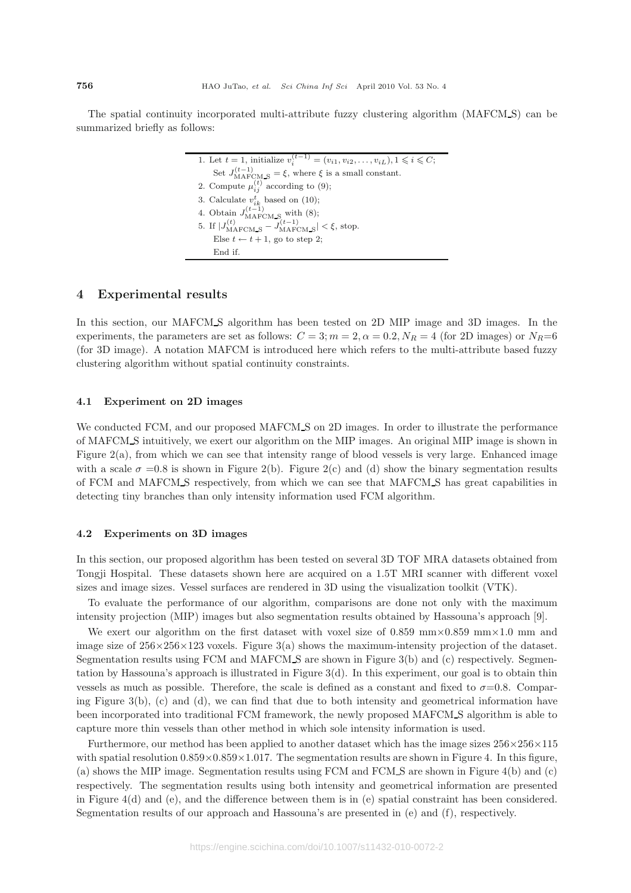The spatial continuity incorporated multi-attribute fuzzy clustering algorithm (MAFCM S) can be summarized briefly as follows:

> 1. Let  $t = 1$ , initialize  $v_i^{(t-1)} = (v_{i1}, v_{i2}, \ldots, v_{iL}), 1 \leq i \leq C$ ; Set  $J_{\text{MAFCM\_S}}^{(t-1)} = \xi$ , where  $\xi$  is a small constant. 2. Compute  $\mu_{ij}^{(t)}$  according to (9); 3. Calculate  $v_{ik}^t$  based on (10); 4. Obtain  $J_{\text{MAFCM\_S}}^{(t-1)}$  with (8); 5. If  $|J_{\text{MAFCM\_S}}^{(t)} - J_{\text{MAFCM\_S}}^{(t-1)}| < \xi$ , stop. Else  $t \leftarrow t + 1$ , go to step 2; End if.

### **4 Experimental results**

In this section, our MAFCM S algorithm has been tested on 2D MIP image and 3D images. In the experiments, the parameters are set as follows:  $C = 3; m = 2, \alpha = 0.2, N_R = 4$  (for 2D images) or  $N_R=6$ (for 3D image). A notation MAFCM is introduced here which refers to the multi-attribute based fuzzy clustering algorithm without spatial continuity constraints.

#### **4.1 Experiment on 2D images**

We conducted FCM, and our proposed MAFCM<sub>S</sub> on 2D images. In order to illustrate the performance of MAFCM S intuitively, we exert our algorithm on the MIP images. An original MIP image is shown in Figure 2(a), from which we can see that intensity range of blood vessels is very large. Enhanced image with a scale  $\sigma =0.8$  is shown in Figure 2(b). Figure 2(c) and (d) show the binary segmentation results of FCM and MAFCM S respectively, from which we can see that MAFCM S has great capabilities in detecting tiny branches than only intensity information used FCM algorithm.

#### **4.2 Experiments on 3D images**

In this section, our proposed algorithm has been tested on several 3D TOF MRA datasets obtained from Tongji Hospital. These datasets shown here are acquired on a 1.5T MRI scanner with different voxel sizes and image sizes. Vessel surfaces are rendered in 3D using the visualization toolkit (VTK).

To evaluate the performance of our algorithm, comparisons are done not only with the maximum intensity projection (MIP) images but also segmentation results obtained by Hassouna's approach [9].

We exert our algorithm on the first dataset with voxel size of 0.859 mm $\times$ 0.859 mm $\times$ 1.0 mm and image size of  $256\times256\times123$  voxels. Figure 3(a) shows the maximum-intensity projection of the dataset. Segmentation results using FCM and MAFCM S are shown in Figure 3(b) and (c) respectively. Segmentation by Hassouna's approach is illustrated in Figure  $3(d)$ . In this experiment, our goal is to obtain thin vessels as much as possible. Therefore, the scale is defined as a constant and fixed to  $\sigma$ =0.8. Comparing Figure 3(b), (c) and (d), we can find that due to both intensity and geometrical information have been incorporated into traditional FCM framework, the newly proposed MAFCM S algorithm is able to capture more thin vessels than other method in which sole intensity information is used.

Furthermore, our method has been applied to another dataset which has the image sizes  $256 \times 256 \times 115$ with spatial resolution  $0.859\times0.859\times1.017$ . The segmentation results are shown in Figure 4. In this figure, (a) shows the MIP image. Segmentation results using FCM and FCM S are shown in Figure 4(b) and (c) respectively. The segmentation results using both intensity and geometrical information are presented in Figure 4(d) and (e), and the difference between them is in (e) spatial constraint has been considered. Segmentation results of our approach and Hassouna's are presented in (e) and (f), respectively.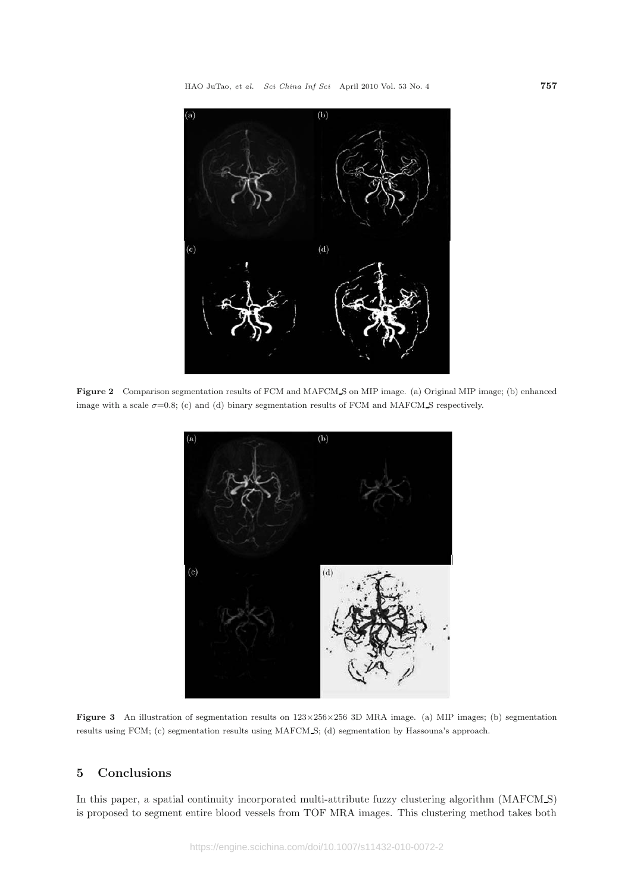

**Figure 2** Comparison segmentation results of FCM and MAFCM S on MIP image. (a) Original MIP image; (b) enhanced image with a scale  $\sigma$ =0.8; (c) and (d) binary segmentation results of FCM and MAFCM S respectively.



**Figure 3** An illustration of segmentation results on  $123 \times 256 \times 256$  3D MRA image. (a) MIP images; (b) segmentation results using FCM; (c) segmentation results using MAFCM S; (d) segmentation by Hassouna's approach.

# **5 Conclusions**

In this paper, a spatial continuity incorporated multi-attribute fuzzy clustering algorithm (MAFCM\_S) is proposed to segment entire blood vessels from TOF MRA images. This clustering method takes both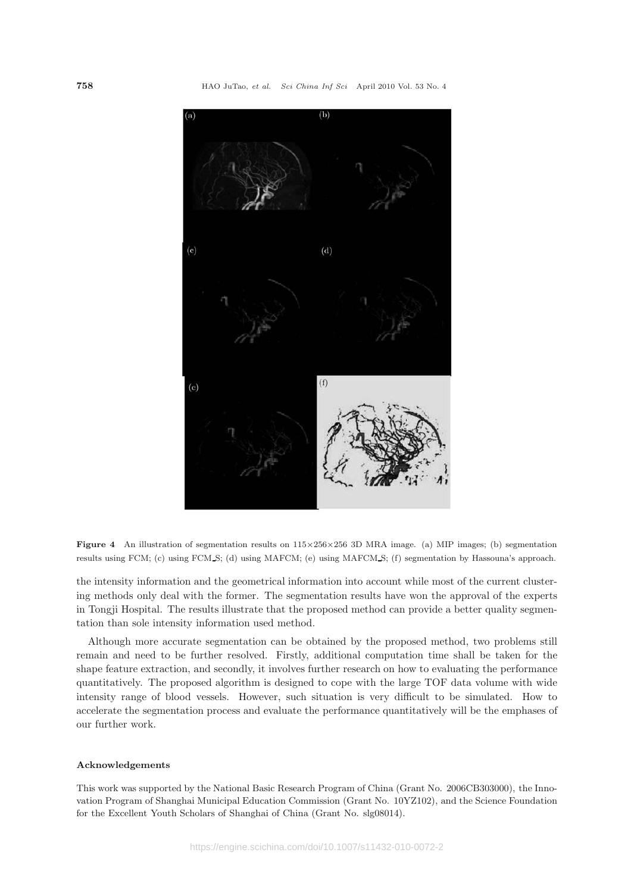

**Figure 4** An illustration of segmentation results on 115×256×256 3D MRA image. (a) MIP images; (b) segmentation results using FCM; (c) using FCM S; (d) using MAFCM; (e) using MAFCM S; (f) segmentation by Hassouna's approach.

the intensity information and the geometrical information into account while most of the current clustering methods only deal with the former. The segmentation results have won the approval of the experts in Tongji Hospital. The results illustrate that the proposed method can provide a better quality segmentation than sole intensity information used method.

Although more accurate segmentation can be obtained by the proposed method, two problems still remain and need to be further resolved. Firstly, additional computation time shall be taken for the shape feature extraction, and secondly, it involves further research on how to evaluating the performance quantitatively. The proposed algorithm is designed to cope with the large TOF data volume with wide intensity range of blood vessels. However, such situation is very difficult to be simulated. How to accelerate the segmentation process and evaluate the performance quantitatively will be the emphases of our further work.

#### **Acknowledgements**

This work was supported by the National Basic Research Program of China (Grant No. 2006CB303000), the Innovation Program of Shanghai Municipal Education Commission (Grant No. 10YZ102), and the Science Foundation for the Excellent Youth Scholars of Shanghai of China (Grant No. slg08014).